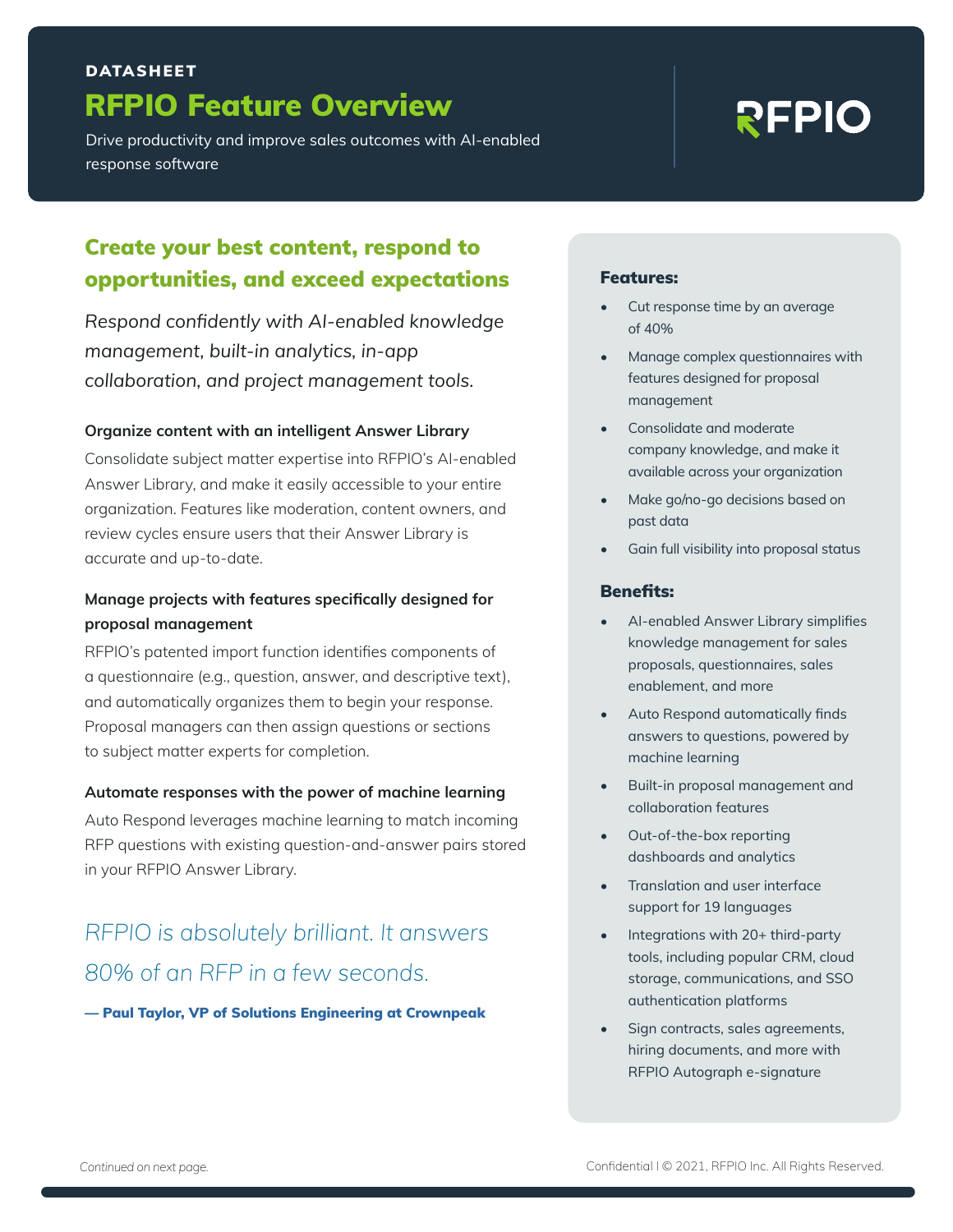## RFPIO Feature Overview DATASHEET

Drive productivity and improve sales outcomes with AI-enabled response software

# **REPIO**

### Create your best content, respond to opportunities, and exceed expectations

*Respond confidently with AI-enabled knowledge management, built-in analytics, in-app collaboration, and project management tools.*

#### **Organize content with an intelligent Answer Library**

Consolidate subject matter expertise into RFPIO's AI-enabled Answer Library, and make it easily accessible to your entire organization. Features like moderation, content owners, and review cycles ensure users that their Answer Library is accurate and up-to-date.

#### **Manage projects with features specifically designed for proposal management**

RFPIO's patented import function identifies components of a questionnaire (e.g., question, answer, and descriptive text), and automatically organizes them to begin your response. Proposal managers can then assign questions or sections to subject matter experts for completion.

#### **Automate responses with the power of machine learning**

Auto Respond leverages machine learning to match incoming RFP questions with existing question-and-answer pairs stored in your RFPIO Answer Library.

# *RFPIO is absolutely brilliant. It answers 80% of an RFP in a few seconds.*

— Paul Taylor, VP of Solutions Engineering at Crownpeak

#### Features:

- Cut response time by an average of 40%
- Manage complex questionnaires with features designed for proposal management
- Consolidate and moderate company knowledge, and make it available across your organization
- Make go/no-go decisions based on past data
- Gain full visibility into proposal status

#### Benefits:

- AI-enabled Answer Library simplifies knowledge management for sales proposals, questionnaires, sales enablement, and more
- Auto Respond automatically finds answers to questions, powered by machine learning
- Built-in proposal management and collaboration features
- Out-of-the-box reporting dashboards and analytics
- Translation and user interface support for 19 languages
- Integrations with 20+ third-party tools, including popular CRM, cloud storage, communications, and SSO authentication platforms
- Sign contracts, sales agreements, hiring documents, and more with RFPIO Autograph e-signature